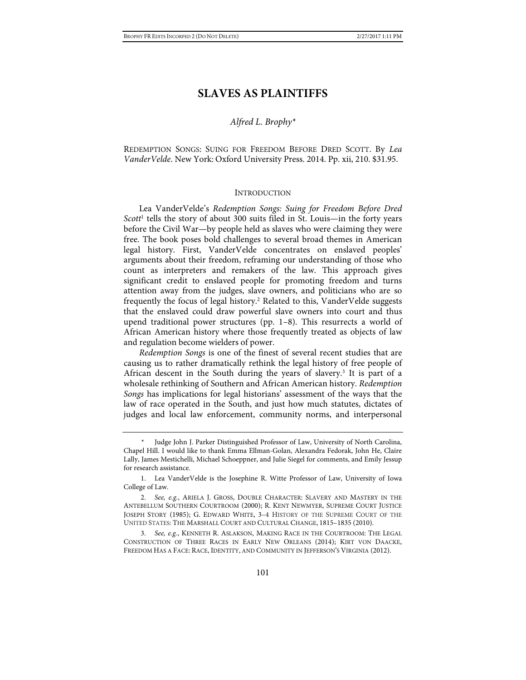# **SLAVES AS PLAINTIFFS**

## *Alfred L. Brophy\**

REDEMPTION SONGS: SUING FOR FREEDOM BEFORE DRED SCOTT. By *Lea VanderVelde*. New York: Oxford University Press. 2014. Pp. xii, 210. \$31.95.

#### <span id="page-0-0"></span>INTRODUCTION

Lea VanderVelde's *Redemption Songs: Suing for Freedom Before Dred Scott*<sup>1</sup> tells the story of about 300 suits filed in St. Louis—in the forty years before the Civil War—by people held as slaves who were claiming they were free. The book poses bold challenges to several broad themes in American legal history. First, VanderVelde concentrates on enslaved peoples' arguments about their freedom, reframing our understanding of those who count as interpreters and remakers of the law. This approach gives significant credit to enslaved people for promoting freedom and turns attention away from the judges, slave owners, and politicians who are so frequently the focus of legal history.2 Related to this, VanderVelde suggests that the enslaved could draw powerful slave owners into court and thus upend traditional power structures (pp. 1–8). This resurrects a world of African American history where those frequently treated as objects of law and regulation become wielders of power.

*Redemption Songs* is one of the finest of several recent studies that are causing us to rather dramatically rethink the legal history of free people of African descent in the South during the years of slavery.<sup>3</sup> It is part of a wholesale rethinking of Southern and African American history. *Redemption Songs* has implications for legal historians' assessment of the ways that the law of race operated in the South, and just how much statutes, dictates of judges and local law enforcement, community norms, and interpersonal

3. *See, e.g.*, KENNETH R. ASLAKSON, MAKING RACE IN THE COURTROOM: THE LEGAL CONSTRUCTION OF THREE RACES IN EARLY NEW ORLEANS (2014); KIRT VON DAACKE, FREEDOM HAS A FACE: RACE, IDENTITY, AND COMMUNITY IN JEFFERSON'S VIRGINIA (2012).

Judge John J. Parker Distinguished Professor of Law, University of North Carolina, Chapel Hill. I would like to thank Emma Ellman-Golan, Alexandra Fedorak, John He, Claire Lally, James Mestichelli, Michael Schoeppner, and Julie Siegel for comments, and Emily Jessup for research assistance.

<sup>1.</sup> Lea VanderVelde is the Josephine R. Witte Professor of Law, University of Iowa College of Law.

<sup>2.</sup> *See, e.g.*, ARIELA J. GROSS, DOUBLE CHARACTER: SLAVERY AND MASTERY IN THE ANTEBELLUM SOUTHERN COURTROOM (2000); R. KENT NEWMYER, SUPREME COURT JUSTICE JOSEPH STORY (1985); G. EDWARD WHITE, 3–4 HISTORY OF THE SUPREME COURT OF THE UNITED STATES: THE MARSHALL COURT AND CULTURAL CHANGE, 1815–1835 (2010).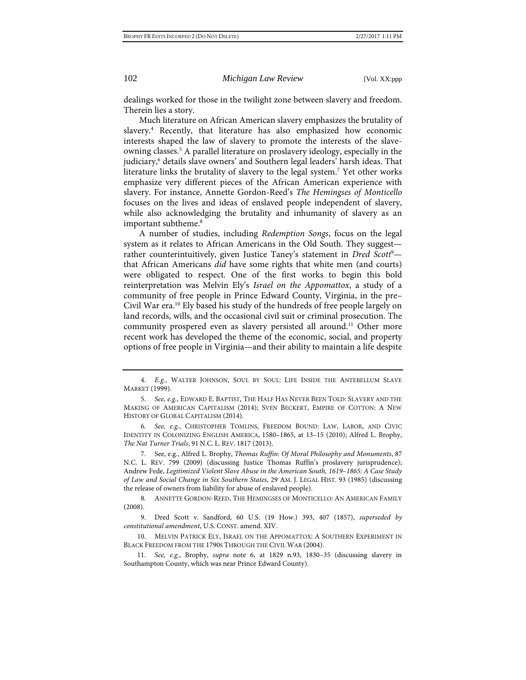dealings worked for those in the twilight zone between slavery and freedom. Therein lies a story.

<span id="page-1-0"></span>Much literature on African American slavery emphasizes the brutality of slavery.4 Recently, that literature has also emphasized how economic interests shaped the law of slavery to promote the interests of the slaveowning classes.5 A parallel literature on proslavery ideology, especially in the judiciary,<sup>6</sup> details slave owners' and Southern legal leaders' harsh ideas. That literature links the brutality of slavery to the legal system.7 Yet other works emphasize very different pieces of the African American experience with slavery. For instance, Annette Gordon-Reed's *The Hemingses of Monticello* focuses on the lives and ideas of enslaved people independent of slavery, while also acknowledging the brutality and inhumanity of slavery as an important subtheme.<sup>8</sup>

<span id="page-1-2"></span><span id="page-1-1"></span>A number of studies, including *Redemption Songs*, focus on the legal system as it relates to African Americans in the Old South. They suggest rather counterintuitively, given Justice Taney's statement in *Dred Scott<sup>9</sup>*that African Americans *did* have some rights that white men (and courts) were obligated to respect. One of the first works to begin this bold reinterpretation was Melvin Ely's *Israel on the Appomattox*, a study of a community of free people in Prince Edward County, Virginia, in the pre– Civil War era.10 Ely based his study of the hundreds of free people largely on land records, wills, and the occasional civil suit or criminal prosecution. The community prospered even as slavery persisted all around.<sup>11</sup> Other more recent work has developed the theme of the economic, social, and property options of free people in Virginia—and their ability to maintain a life despite

<sup>4.</sup> *E.g.*, WALTER JOHNSON, SOUL BY SOUL: LIFE INSIDE THE ANTEBELLUM SLAVE MARKET (1999).

<sup>5.</sup> *See, e.g.*, EDWARD E. BAPTIST, THE HALF HAS NEVER BEEN TOLD: SLAVERY AND THE MAKING OF AMERICAN CAPITALISM (2014); SVEN BECKERT, EMPIRE OF COTTON: A NEW HISTORY OF GLOBAL CAPITALISM (2014).

<sup>6.</sup> *See, e.g.*, CHRISTOPHER TOMLINS, FREEDOM BOUND: LAW, LABOR, AND CIVIC IDENTITY IN COLONIZING ENGLISH AMERICA, 1580–1865, at 13–15 (2010); Alfred L. Brophy, *The Nat Turner Trials*, 91 N.C. L. REV. 1817 (2013).

<sup>7.</sup> See, e.g., Alfred L. Brophy, *Thomas Ruffin: Of Moral Philosophy and Monuments*, 87 N.C. L. REV. 799 (2009) (discussing Justice Thomas Ruffin's proslavery jurisprudence); Andrew Fede, *Legitimized Violent Slave Abuse in the American South, 1619–1865: A Case Study of Law and Social Change in Six Southern States*, 29 AM. J. LEGAL HIST. 93 (1985) (discussing the release of owners from liability for abuse of enslaved people).

<sup>8.</sup> ANNETTE GORDON-REED, THE HEMINGSES OF MONTICELLO: AN AMERICAN FAMILY (2008).

<sup>9.</sup> Dred Scott v. Sandford, 60 U.S. (19 How.) 393, 407 (1857), *superseded by constitutional amendment*, U.S. CONST. amend. XIV.

<sup>10.</sup> MELVIN PATRICK ELY, ISRAEL ON THE APPOMATTOX: A SOUTHERN EXPERIMENT IN BLACK FREEDOM FROM THE 1790S THROUGH THE CIVIL WAR (2004).

<sup>11.</sup> *See, e.g.*, Brophy, *supra* note [6,](#page-1-0) at 1829 n.93, 1830–35 (discussing slavery in Southampton County, which was near Prince Edward County).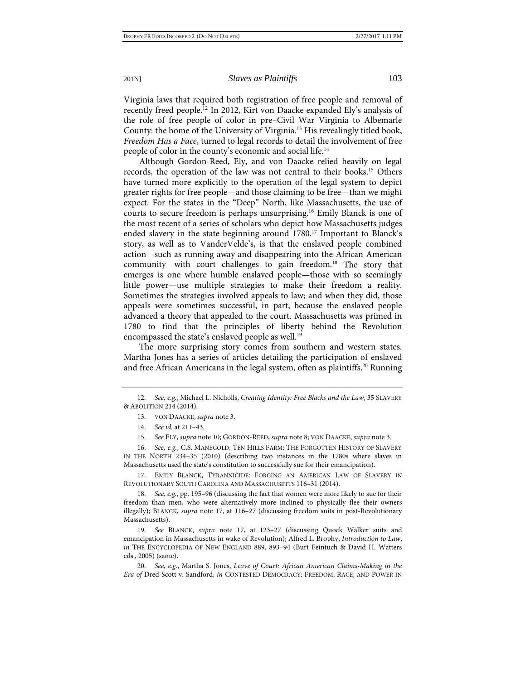Virginia laws that required both registration of free people and removal of recently freed people.12 In 2012, Kirt von Daacke expanded Ely's analysis of the role of free people of color in pre–Civil War Virginia to Albemarle County: the home of the University of Virginia.13 His revealingly titled book, *Freedom Has a Face*, turned to legal records to detail the involvement of free people of color in the county's economic and social life.14

<span id="page-2-0"></span>Although Gordon-Reed, Ely, and von Daacke relied heavily on legal records, the operation of the law was not central to their books.15 Others have turned more explicitly to the operation of the legal system to depict greater rights for free people—and those claiming to be free—than we might expect. For the states in the "Deep" North, like Massachusetts, the use of courts to secure freedom is perhaps unsurprising.16 Emily Blanck is one of the most recent of a series of scholars who depict how Massachusetts judges ended slavery in the state beginning around  $1780$ .<sup>17</sup> Important to Blanck's story, as well as to VanderVelde's, is that the enslaved people combined action—such as running away and disappearing into the African American community—with court challenges to gain freedom.<sup>18</sup> The story that emerges is one where humble enslaved people—those with so seemingly little power—use multiple strategies to make their freedom a reality. Sometimes the strategies involved appeals to law; and when they did, those appeals were sometimes successful, in part, because the enslaved people advanced a theory that appealed to the court. Massachusetts was primed in 1780 to find that the principles of liberty behind the Revolution encompassed the state's enslaved people as well.<sup>19</sup>

The more surprising story comes from southern and western states. Martha Jones has a series of articles detailing the participation of enslaved and free African Americans in the legal system, often as plaintiffs.<sup>20</sup> Running

16. *See, e.g.*, C.S. MANEGOLD, TEN HILLS FARM: THE FORGOTTEN HISTORY OF SLAVERY IN THE NORTH 234–35 (2010) (describing two instances in the 1780s where slaves in Massachusetts used the state's constitution to successfully sue for their emancipation).

17. EMILY BLANCK, TYRANNICIDE: FORGING AN AMERICAN LAW OF SLAVERY IN REVOLUTIONARY SOUTH CAROLINA AND MASSACHUSETTS 116–31 (2014).

18. *See, e.g.*, pp. 195–96 (discussing the fact that women were more likely to sue for their freedom than men, who were alternatively more inclined to physically flee their owners illegally); BLANCK, *supra* note [17,](#page-2-0) at 116–27 (discussing freedom suits in post-Revolutionary Massachusetts).

19. *See* BLANCK, *supra* note [17,](#page-2-0) at 123–27 (discussing Quock Walker suits and emancipation in Massachusetts in wake of Revolution); Alfred L. Brophy, *Introduction to Law*, *in* THE ENCYCLOPEDIA OF NEW ENGLAND 889, 893–94 (Burt Feintuch & David H. Watters eds., 2005) (same).

20. *See, e.g.*, Martha S. Jones, *Leave of Court: African American Claims-Making in the Era of* Dred Scott v. Sandford, *in* CONTESTED DEMOCRACY: FREEDOM, RACE, AND POWER IN

<sup>12.</sup> *See, e.g.*, Michael L. Nicholls, *Creating Identity: Free Blacks and the Law*, 35 SLAVERY & ABOLITION 214 (2014).

<sup>13.</sup> VON DAACKE, *supra* not[e 3.](#page-0-0)

<sup>14.</sup> *See id.* at 211–43.

<sup>15.</sup> *See* ELY, *supra* not[e 10;](#page-1-1) GORDON-REED, *supra* not[e 8;](#page-1-2) VON DAACKE, *supra* not[e 3.](#page-0-0)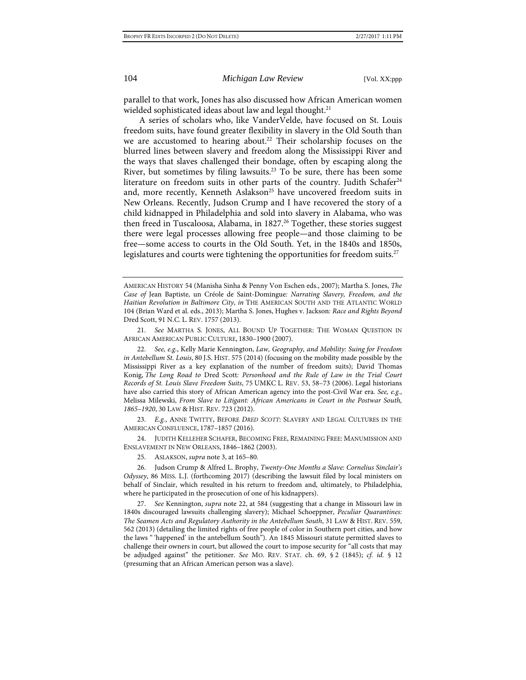<span id="page-3-0"></span>

parallel to that work, Jones has also discussed how African American women wielded sophisticated ideas about law and legal thought.<sup>21</sup>

A series of scholars who, like VanderVelde, have focused on St. Louis freedom suits, have found greater flexibility in slavery in the Old South than we are accustomed to hearing about.<sup>22</sup> Their scholarship focuses on the blurred lines between slavery and freedom along the Mississippi River and the ways that slaves challenged their bondage, often by escaping along the River, but sometimes by filing lawsuits.23 To be sure, there has been some literature on freedom suits in other parts of the country. Judith Schafer<sup>24</sup> and, more recently, Kenneth Aslakson<sup>25</sup> have uncovered freedom suits in New Orleans. Recently, Judson Crump and I have recovered the story of a child kidnapped in Philadelphia and sold into slavery in Alabama, who was then freed in Tuscaloosa, Alabama, in 1827.<sup>26</sup> Together, these stories suggest there were legal processes allowing free people—and those claiming to be free—some access to courts in the Old South. Yet, in the 1840s and 1850s, legislatures and courts were tightening the opportunities for freedom suits.<sup>27</sup>

21. *See* MARTHA S. JONES, ALL BOUND UP TOGETHER: THE WOMAN QUESTION IN AFRICAN AMERICAN PUBLIC CULTURE, 1830–1900 (2007).

22. *See, e.g.*, Kelly Marie Kennington, *Law, Geography, and Mobility: Suing for Freedom in Antebellum St. Louis*, 80 J.S. HIST. 575 (2014) (focusing on the mobility made possible by the Mississippi River as a key explanation of the number of freedom suits); David Thomas Konig, *The Long Road to* Dred Scott*: Personhood and the Rule of Law in the Trial Court Records of St. Louis Slave Freedom Suits*, 75 UMKC L. REV. 53, 58–73 (2006). Legal historians have also carried this story of African American agency into the post-Civil War era. *See, e.g.*, Melissa Milewski, *From Slave to Litigant: African Americans in Court in the Postwar South, 1865–1920*, 30 LAW & HIST. REV. 723 (2012).

23. *E.g.*, ANNE TWITTY, BEFORE *DRED SCOTT*: SLAVERY AND LEGAL CULTURES IN THE AMERICAN CONFLUENCE, 1787–1857 (2016).

24. JUDITH KELLEHER SCHAFER, BECOMING FREE, REMAINING FREE: MANUMISSION AND ENSLAVEMENT IN NEW ORLEANS, 1846–1862 (2003).

25. ASLAKSON, *supra* not[e 3,](#page-0-0) at 165–80.

26. Judson Crump & Alfred L. Brophy, *Twenty-One Months a Slave: Cornelius Sinclair's Odyssey*, 86 MISS. L.J. (forthcoming 2017) (describing the lawsuit filed by local ministers on behalf of Sinclair, which resulted in his return to freedom and, ultimately, to Philadelphia, where he participated in the prosecution of one of his kidnappers).

27. *See* Kennington, *supra* note [22,](#page-3-0) at 584 (suggesting that a change in Missouri law in 1840s discouraged lawsuits challenging slavery); Michael Schoeppner, *Peculiar Quarantines: The Seamen Acts and Regulatory Authority in the Antebellum South*, 31 LAW & HIST. REV. 559, 562 (2013) (detailing the limited rights of free people of color in Southern port cities, and how the laws "'happened' in the antebellum South"). An 1845 Missouri statute permitted slaves to challenge their owners in court, but allowed the court to impose security for "all costs that may be adjudged against" the petitioner. *See* MO. REV. STAT. ch. 69, § 2 (1845); *cf. id.* § 12 (presuming that an African American person was a slave).

AMERICAN HISTORY 54 (Manisha Sinha & Penny Von Eschen eds., 2007); Martha S. Jones, *The Case of* Jean Baptiste, un Créole de Saint-Domingue*: Narrating Slavery, Freedom, and the Haitian Revolution in Baltimore City*, *in* THE AMERICAN SOUTH AND THE ATLANTIC WORLD 104 (Brian Ward et al. eds., 2013); Martha S. Jones, Hughes v. Jackson*: Race and Rights Beyond*  Dred Scott, 91 N.C. L. REV. 1757 (2013).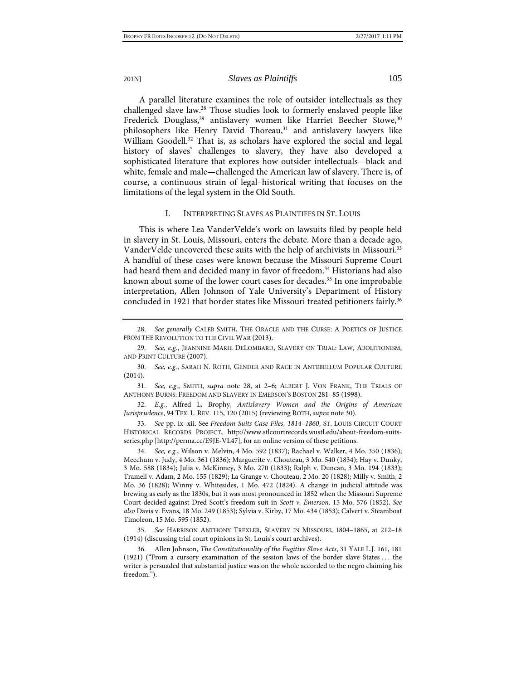<span id="page-4-0"></span>A parallel literature examines the role of outsider intellectuals as they challenged slave law.28 Those studies look to formerly enslaved people like Frederick Douglass,<sup>29</sup> antislavery women like Harriet Beecher Stowe,<sup>30</sup> philosophers like Henry David Thoreau,<sup>31</sup> and antislavery lawyers like William Goodell.<sup>32</sup> That is, as scholars have explored the social and legal history of slaves' challenges to slavery, they have also developed a sophisticated literature that explores how outsider intellectuals—black and white, female and male—challenged the American law of slavery. There is, of course, a continuous strain of legal–historical writing that focuses on the limitations of the legal system in the Old South.

## <span id="page-4-3"></span><span id="page-4-2"></span>I. INTERPRETING SLAVES AS PLAINTIFFS IN ST. LOUIS

This is where Lea VanderVelde's work on lawsuits filed by people held in slavery in St. Louis, Missouri, enters the debate. More than a decade ago, VanderVelde uncovered these suits with the help of archivists in Missouri.33 A handful of these cases were known because the Missouri Supreme Court had heard them and decided many in favor of freedom.<sup>34</sup> Historians had also known about some of the lower court cases for decades.<sup>35</sup> In one improbable interpretation, Allen Johnson of Yale University's Department of History concluded in 1921 that border states like Missouri treated petitioners fairly.<sup>36</sup>

34. *See, e.g.*, Wilson v. Melvin, 4 Mo. 592 (1837); Rachael v. Walker, 4 Mo. 350 (1836); Meechum v. Judy, 4 Mo. 361 (1836); Marguerite v. Chouteau, 3 Mo. 540 (1834); Hay v. Dunky, 3 Mo. 588 (1834); Julia v. McKinney, 3 Mo. 270 (1833); Ralph v. Duncan, 3 Mo. 194 (1833); Tramell v. Adam, 2 Mo. 155 (1829); La Grange v. Chouteau, 2 Mo. 20 (1828); Milly v. Smith, 2 Mo. 36 (1828); Winny v. Whitesides, 1 Mo. 472 (1824). A change in judicial attitude was brewing as early as the 1830s, but it was most pronounced in 1852 when the Missouri Supreme Court decided against Dred Scott's freedom suit in *Scott v. Emerson*. 15 Mo. 576 (1852). *See also* Davis v. Evans, 18 Mo. 249 (1853); Sylvia v. Kirby, 17 Mo. 434 (1853); Calvert v. Steamboat Timoleon, 15 Mo. 595 (1852).

35. *See* HARRISON ANTHONY TREXLER, SLAVERY IN MISSOURI, 1804–1865, at 212–18 (1914) (discussing trial court opinions in St. Louis's court archives).

36. Allen Johnson, *The Constitutionality of the Fugitive Slave Acts*, 31 YALE L.J. 161, 181 (1921) ("From a cursory examination of the session laws of the border slave States . . . the writer is persuaded that substantial justice was on the whole accorded to the negro claiming his freedom.").

<span id="page-4-4"></span><span id="page-4-1"></span>

<sup>28.</sup> *See generally* CALEB SMITH, THE ORACLE AND THE CURSE: A POETICS OF JUSTICE FROM THE REVOLUTION TO THE CIVIL WAR (2013).

<sup>29.</sup> *See, e.g.*, JEANNINE MARIE DELOMBARD, SLAVERY ON TRIAL: LAW, ABOLITIONISM, AND PRINT CULTURE (2007).

<sup>30.</sup> *See, e.g.*, SARAH N. ROTH, GENDER AND RACE IN ANTEBELLUM POPULAR CULTURE (2014).

<sup>31.</sup> *See, e.g.*, SMITH, *supra* note [28,](#page-4-0) at 2–6; ALBERT J. VON FRANK, THE TRIALS OF ANTHONY BURNS: FREEDOM AND SLAVERY IN EMERSON'S BOSTON 281–85 (1998).

<sup>32.</sup> *E.g.*, Alfred L. Brophy, *Antislavery Women and the Origins of American Jurisprudence*, 94 TEX. L. REV. 115, 120 (2015) (reviewing ROTH, *supra* not[e 30\)](#page-4-1).

<sup>33.</sup> *See* pp. ix–xii. See *Freedom Suits Case Files, 1814–1860*, ST. LOUIS CIRCUIT COURT HISTORICAL RECORDS PROJECT, http://www.stlcourtrecords.wustl.edu/about-freedom-suitsseries.php [http://perma.cc/E9JE-VL47], for an online version of these petitions.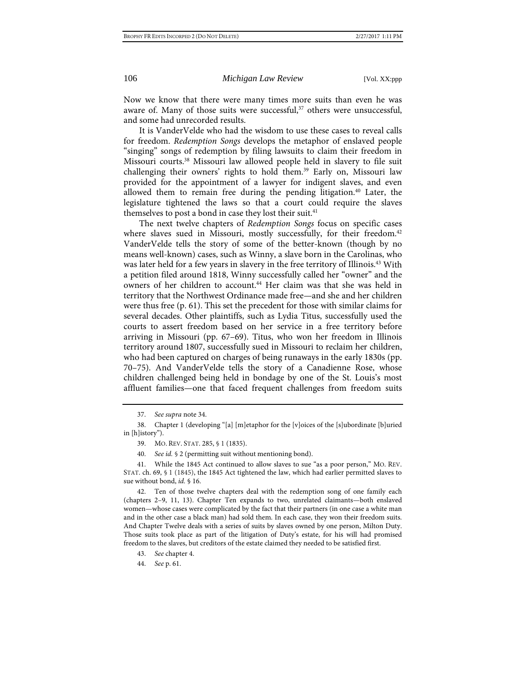Now we know that there were many times more suits than even he was aware of. Many of those suits were successful, $37$  others were unsuccessful, and some had unrecorded results.

It is VanderVelde who had the wisdom to use these cases to reveal calls for freedom. *Redemption Songs* develops the metaphor of enslaved people "singing" songs of redemption by filing lawsuits to claim their freedom in Missouri courts.38 Missouri law allowed people held in slavery to file suit challenging their owners' rights to hold them.<sup>39</sup> Early on, Missouri law provided for the appointment of a lawyer for indigent slaves, and even allowed them to remain free during the pending litigation.<sup>40</sup> Later, the legislature tightened the laws so that a court could require the slaves themselves to post a bond in case they lost their suit.<sup>41</sup>

The next twelve chapters of *Redemption Songs* focus on specific cases where slaves sued in Missouri, mostly successfully, for their freedom.<sup>42</sup> VanderVelde tells the story of some of the better-known (though by no means well-known) cases, such as Winny, a slave born in the Carolinas, who was later held for a few years in slavery in the free territory of Illinois.43 With a petition filed around 1818, Winny successfully called her "owner" and the owners of her children to account.<sup>44</sup> Her claim was that she was held in territory that the Northwest Ordinance made free—and she and her children were thus free (p. 61). This set the precedent for those with similar claims for several decades. Other plaintiffs, such as Lydia Titus, successfully used the courts to assert freedom based on her service in a free territory before arriving in Missouri (pp. 67–69). Titus, who won her freedom in Illinois territory around 1807, successfully sued in Missouri to reclaim her children, who had been captured on charges of being runaways in the early 1830s (pp. 70–75). And VanderVelde tells the story of a Canadienne Rose, whose children challenged being held in bondage by one of the St. Louis's most affluent families—one that faced frequent challenges from freedom suits

<sup>37.</sup> *See supra* not[e 34.](#page-4-2)

<sup>38.</sup> Chapter 1 (developing "[a] [m]etaphor for the [v]oices of the [s]ubordinate [b]uried in [h]istory").

<sup>39.</sup> MO. REV. STAT. 285, § 1 (1835).

<sup>40.</sup> *See id.* § 2 (permitting suit without mentioning bond).

<sup>41.</sup> While the 1845 Act continued to allow slaves to sue "as a poor person," MO. REV. STAT. ch. 69, § 1 (1845), the 1845 Act tightened the law, which had earlier permitted slaves to sue without bond, *id.* § 16.

<sup>42.</sup> Ten of those twelve chapters deal with the redemption song of one family each (chapters 2–9, 11, 13). Chapter Ten expands to two, unrelated claimants—both enslaved women—whose cases were complicated by the fact that their partners (in one case a white man and in the other case a black man) had sold them. In each case, they won their freedom suits. And Chapter Twelve deals with a series of suits by slaves owned by one person, Milton Duty. Those suits took place as part of the litigation of Duty's estate, for his will had promised freedom to the slaves, but creditors of the estate claimed they needed to be satisfied first.

<sup>43.</sup> *See* chapter 4.

<sup>44.</sup> *See* p. 61.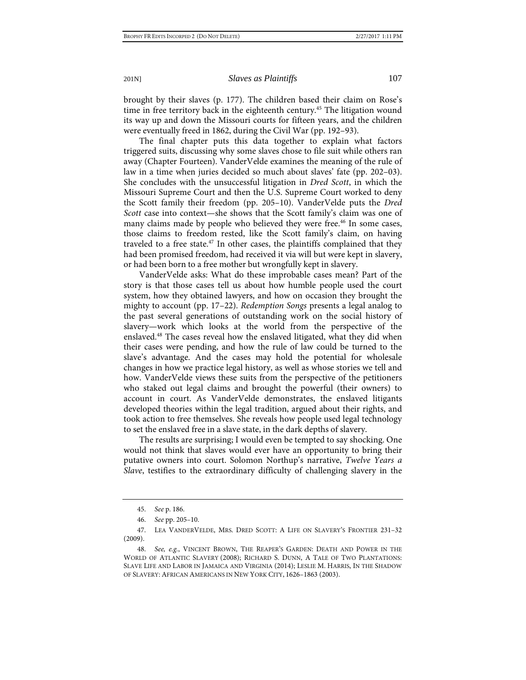brought by their slaves (p. 177). The children based their claim on Rose's time in free territory back in the eighteenth century.<sup>45</sup> The litigation wound its way up and down the Missouri courts for fifteen years, and the children were eventually freed in 1862, during the Civil War (pp. 192–93).

The final chapter puts this data together to explain what factors triggered suits, discussing why some slaves chose to file suit while others ran away (Chapter Fourteen). VanderVelde examines the meaning of the rule of law in a time when juries decided so much about slaves' fate (pp. 202–03). She concludes with the unsuccessful litigation in *Dred Scott*, in which the Missouri Supreme Court and then the U.S. Supreme Court worked to deny the Scott family their freedom (pp. 205–10). VanderVelde puts the *Dred Scott* case into context—she shows that the Scott family's claim was one of many claims made by people who believed they were free.<sup>46</sup> In some cases, those claims to freedom rested, like the Scott family's claim, on having traveled to a free state.<sup>47</sup> In other cases, the plaintiffs complained that they had been promised freedom, had received it via will but were kept in slavery, or had been born to a free mother but wrongfully kept in slavery.

VanderVelde asks: What do these improbable cases mean? Part of the story is that those cases tell us about how humble people used the court system, how they obtained lawyers, and how on occasion they brought the mighty to account (pp. 17–22). *Redemption Songs* presents a legal analog to the past several generations of outstanding work on the social history of slavery—work which looks at the world from the perspective of the enslaved.<sup>48</sup> The cases reveal how the enslaved litigated, what they did when their cases were pending, and how the rule of law could be turned to the slave's advantage. And the cases may hold the potential for wholesale changes in how we practice legal history, as well as whose stories we tell and how. VanderVelde views these suits from the perspective of the petitioners who staked out legal claims and brought the powerful (their owners) to account in court. As VanderVelde demonstrates, the enslaved litigants developed theories within the legal tradition, argued about their rights, and took action to free themselves. She reveals how people used legal technology to set the enslaved free in a slave state, in the dark depths of slavery.

The results are surprising; I would even be tempted to say shocking. One would not think that slaves would ever have an opportunity to bring their putative owners into court. Solomon Northup's narrative, *Twelve Years a Slave*, testifies to the extraordinary difficulty of challenging slavery in the

<sup>45.</sup> *See* p. 186.

<sup>46.</sup> *See* pp. 205–10.

<sup>47.</sup> LEA VANDERVELDE, MRS. DRED SCOTT: A LIFE ON SLAVERY'S FRONTIER 231–32 (2009).

<sup>48.</sup> *See, e.g.*, VINCENT BROWN, THE REAPER'S GARDEN: DEATH AND POWER IN THE WORLD OF ATLANTIC SLAVERY (2008); RICHARD S. DUNN, A TALE OF TWO PLANTATIONS: SLAVE LIFE AND LABOR IN JAMAICA AND VIRGINIA (2014); LESLIE M. HARRIS, IN THE SHADOW OF SLAVERY: AFRICAN AMERICANS IN NEW YORK CITY, 1626–1863 (2003).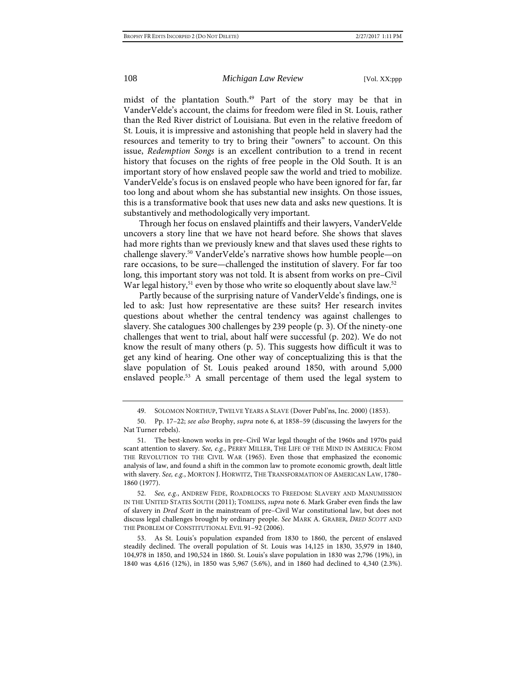midst of the plantation South.<sup>49</sup> Part of the story may be that in VanderVelde's account, the claims for freedom were filed in St. Louis, rather than the Red River district of Louisiana. But even in the relative freedom of St. Louis, it is impressive and astonishing that people held in slavery had the resources and temerity to try to bring their "owners" to account. On this issue, *Redemption Songs* is an excellent contribution to a trend in recent history that focuses on the rights of free people in the Old South. It is an important story of how enslaved people saw the world and tried to mobilize. VanderVelde's focus is on enslaved people who have been ignored for far, far too long and about whom she has substantial new insights. On those issues, this is a transformative book that uses new data and asks new questions. It is substantively and methodologically very important.

Through her focus on enslaved plaintiffs and their lawyers, VanderVelde uncovers a story line that we have not heard before. She shows that slaves had more rights than we previously knew and that slaves used these rights to challenge slavery.50 VanderVelde's narrative shows how humble people—on rare occasions, to be sure—challenged the institution of slavery. For far too long, this important story was not told. It is absent from works on pre–Civil War legal history,  $51$  even by those who write so eloquently about slave law.  $52$ 

Partly because of the surprising nature of VanderVelde's findings, one is led to ask: Just how representative are these suits? Her research invites questions about whether the central tendency was against challenges to slavery. She catalogues 300 challenges by 239 people (p. 3). Of the ninety-one challenges that went to trial, about half were successful (p. 202). We do not know the result of many others (p. 5). This suggests how difficult it was to get any kind of hearing. One other way of conceptualizing this is that the slave population of St. Louis peaked around 1850, with around 5,000 enslaved people.<sup>53</sup> A small percentage of them used the legal system to

52. *See, e.g.*, ANDREW FEDE, ROADBLOCKS TO FREEDOM: SLAVERY AND MANUMISSION IN THE UNITED STATES SOUTH (2011); TOMLINS, *supra* not[e 6.](#page-1-0) Mark Graber even finds the law of slavery in *Dred Scott* in the mainstream of pre–Civil War constitutional law, but does not discuss legal challenges brought by ordinary people. *See* MARK A. GRABER, *DRED SCOTT* AND THE PROBLEM OF CONSTITUTIONAL EVIL 91–92 (2006).

53. As St. Louis's population expanded from 1830 to 1860, the percent of enslaved steadily declined. The overall population of St. Louis was 14,125 in 1830, 35,979 in 1840, 104,978 in 1850, and 190,524 in 1860. St. Louis's slave population in 1830 was 2,796 (19%), in 1840 was 4,616 (12%), in 1850 was 5,967 (5.6%), and in 1860 had declined to 4,340 (2.3%).

<sup>49.</sup> SOLOMON NORTHUP, TWELVE YEARS A SLAVE (Dover Publ'ns, Inc. 2000) (1853).

<sup>50.</sup> Pp. 17–22; *see also* Brophy, *supra* note [6,](#page-1-0) at 1858–59 (discussing the lawyers for the Nat Turner rebels).

<sup>51.</sup> The best-known works in pre–Civil War legal thought of the 1960s and 1970s paid scant attention to slavery. *See, e.g.*, PERRY MILLER, THE LIFE OF THE MIND IN AMERICA: FROM THE REVOLUTION TO THE CIVIL WAR (1965). Even those that emphasized the economic analysis of law, and found a shift in the common law to promote economic growth, dealt little with slavery. *See, e.g.*, MORTON J. HORWITZ, THE TRANSFORMATION OF AMERICAN LAW, 1780– 1860 (1977).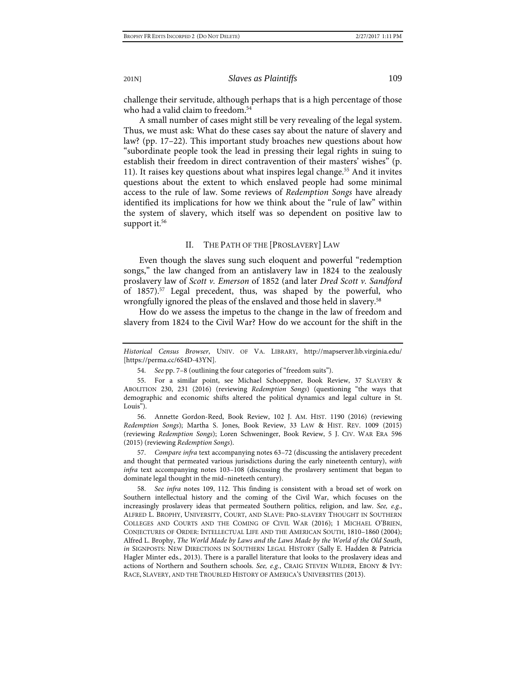challenge their servitude, although perhaps that is a high percentage of those who had a valid claim to freedom.<sup>54</sup>

A small number of cases might still be very revealing of the legal system. Thus, we must ask: What do these cases say about the nature of slavery and law? (pp. 17–22). This important study broaches new questions about how "subordinate people took the lead in pressing their legal rights in suing to establish their freedom in direct contravention of their masters' wishes" (p. 11). It raises key questions about what inspires legal change.<sup>55</sup> And it invites questions about the extent to which enslaved people had some minimal access to the rule of law. Some reviews of *Redemption Songs* have already identified its implications for how we think about the "rule of law" within the system of slavery, which itself was so dependent on positive law to support it. $56$ 

## <span id="page-8-0"></span>II. THE PATH OF THE [PROSLAVERY] LAW

Even though the slaves sung such eloquent and powerful "redemption songs," the law changed from an antislavery law in 1824 to the zealously proslavery law of *Scott v. Emerson* of 1852 (and later *Dred Scott v. Sandford* of 1857).57 Legal precedent, thus, was shaped by the powerful, who wrongfully ignored the pleas of the enslaved and those held in slavery.<sup>58</sup>

How do we assess the impetus to the change in the law of freedom and slavery from 1824 to the Civil War? How do we account for the shift in the

*Historical Census Browser*, UNIV. OF VA. LIBRARY, http://mapserver.lib.virginia.edu/ [https://perma.cc/6S4D-43YN].

<sup>54.</sup> *See* pp. 7–8 (outlining the four categories of "freedom suits").

<sup>55.</sup> For a similar point, see Michael Schoeppner, Book Review, 37 SLAVERY & ABOLITION 230, 231 (2016) (reviewing *Redemption Songs*) (questioning "the ways that demographic and economic shifts altered the political dynamics and legal culture in St. Louis").

<sup>56.</sup> Annette Gordon-Reed, Book Review, 102 J. AM. HIST. 1190 (2016) (reviewing *Redemption Songs*); Martha S. Jones, Book Review, 33 LAW & HIST. REV. 1009 (2015) (reviewing *Redemption Songs*); Loren Schweninger, Book Review, 5 J. CIV. WAR ERA 596 (2015) (reviewing *Redemption Songs*).

<sup>57.</sup> *Compare infra* text accompanying note[s 63](#page-9-0)[–72](#page-10-0) (discussing the antislavery precedent and thought that permeated various jurisdictions during the early nineteenth century), *with infra* text accompanying notes [103–](#page-15-0)[108](#page-15-1) (discussing the proslavery sentiment that began to dominate legal thought in the mid–nineteeth century).

<sup>58.</sup> *See infra* notes [109,](#page-15-2) [112.](#page-16-0) This finding is consistent with a broad set of work on Southern intellectual history and the coming of the Civil War, which focuses on the increasingly proslavery ideas that permeated Southern politics, religion, and law. *See, e.g.*, ALFRED L. BROPHY, UNIVERSITY, COURT, AND SLAVE: PRO-SLAVERY THOUGHT IN SOUTHERN COLLEGES AND COURTS AND THE COMING OF CIVIL WAR (2016); 1 MICHAEL O'BRIEN, CONJECTURES OF ORDER: INTELLECTUAL LIFE AND THE AMERICAN SOUTH, 1810–1860 (2004); Alfred L. Brophy, *The World Made by Laws and the Laws Made by the World of the Old South*, *in* SIGNPOSTS: NEW DIRECTIONS IN SOUTHERN LEGAL HISTORY (Sally E. Hadden & Patricia Hagler Minter eds., 2013). There is a parallel literature that looks to the proslavery ideas and actions of Northern and Southern schools. *See, e.g.*, CRAIG STEVEN WILDER, EBONY & IVY: RACE, SLAVERY, AND THE TROUBLED HISTORY OF AMERICA'S UNIVERSITIES (2013).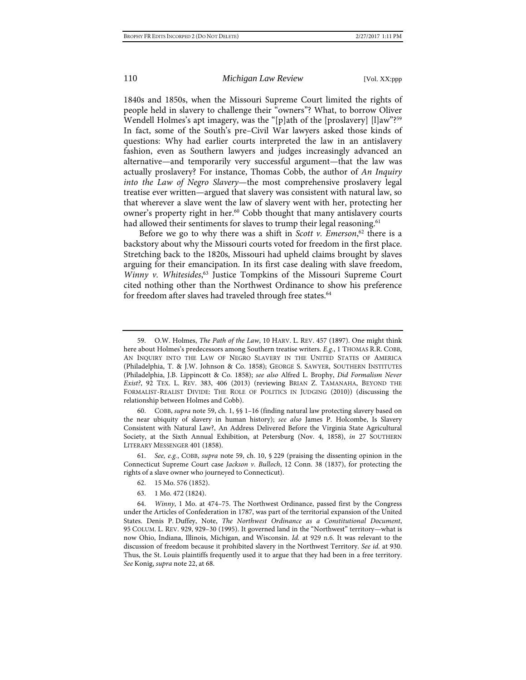<span id="page-9-1"></span>

1840s and 1850s, when the Missouri Supreme Court limited the rights of people held in slavery to challenge their "owners"? What, to borrow Oliver Wendell Holmes's apt imagery, was the "[p]ath of the [proslavery] [l]aw"?59 In fact, some of the South's pre–Civil War lawyers asked those kinds of questions: Why had earlier courts interpreted the law in an antislavery fashion, even as Southern lawyers and judges increasingly advanced an alternative—and temporarily very successful argument—that the law was actually proslavery? For instance, Thomas Cobb, the author of *An Inquiry into the Law of Negro Slavery*—the most comprehensive proslavery legal treatise ever written—argued that slavery was consistent with natural law, so that wherever a slave went the law of slavery went with her, protecting her owner's property right in her.<sup>60</sup> Cobb thought that many antislavery courts had allowed their sentiments for slaves to trump their legal reasoning.<sup>61</sup>

<span id="page-9-0"></span>Before we go to why there was a shift in *Scott v. Emerson*, <sup>62</sup> there is a backstory about why the Missouri courts voted for freedom in the first place. Stretching back to the 1820s, Missouri had upheld claims brought by slaves arguing for their emancipation. In its first case dealing with slave freedom, *Winny v. Whitesides*, <sup>63</sup> Justice Tompkins of the Missouri Supreme Court cited nothing other than the Northwest Ordinance to show his preference for freedom after slaves had traveled through free states.<sup>64</sup>

63. 1 Mo. 472 (1824).

<sup>59.</sup> O.W. Holmes, *The Path of the Law*, 10 HARV. L. REV. 457 (1897). One might think here about Holmes's predecessors among Southern treatise writers. *E.g.*, 1 THOMAS R.R. COBB, AN INQUIRY INTO THE LAW OF NEGRO SLAVERY IN THE UNITED STATES OF AMERICA (Philadelphia, T. & J.W. Johnson & Co. 1858); GEORGE S. SAWYER, SOUTHERN INSTITUTES (Philadelphia, J.B. Lippincott & Co. 1858); *see also* Alfred L. Brophy, *Did Formalism Never Exist?*, 92 TEX. L. REV. 383, 406 (2013) (reviewing BRIAN Z. TAMANAHA, BEYOND THE FORMALIST-REALIST DIVIDE: THE ROLE OF POLITICS IN JUDGING (2010)) (discussing the relationship between Holmes and Cobb).

<sup>60.</sup> COBB, *supra* not[e 59,](#page-9-1) ch. 1, §§ 1–16 (finding natural law protecting slavery based on the near ubiquity of slavery in human history); *see also* James P. Holcombe, Is Slavery Consistent with Natural Law?, An Address Delivered Before the Virginia State Agricultural Society, at the Sixth Annual Exhibition, at Petersburg (Nov. 4, 1858), *in* 27 SOUTHERN LITERARY MESSENGER 401 (1858).

<sup>61.</sup> *See, e.g.*, COBB, *supra* note [59,](#page-9-1) ch. 10, § 229 (praising the dissenting opinion in the Connecticut Supreme Court case *Jackson v. Bulloch*, 12 Conn. 38 (1837), for protecting the rights of a slave owner who journeyed to Connecticut).

<sup>62.</sup> 15 Mo. 576 (1852).

<sup>64.</sup> *Winny*, 1 Mo. at 474–75. The Northwest Ordinance, passed first by the Congress under the Articles of Confederation in 1787, was part of the territorial expansion of the United States. Denis P. Duffey, Note, *The Northwest Ordinance as a Constitutional Document*, 95 COLUM. L. REV. 929, 929–30 (1995). It governed land in the "Northwest" territory—what is now Ohio, Indiana, Illinois, Michigan, and Wisconsin. *Id.* at 929 n.6. It was relevant to the discussion of freedom because it prohibited slavery in the Northwest Territory. *See id.* at 930. Thus, the St. Louis plaintiffs frequently used it to argue that they had been in a free territory. *See* Konig, *supra* not[e 22,](#page-3-0) at 68.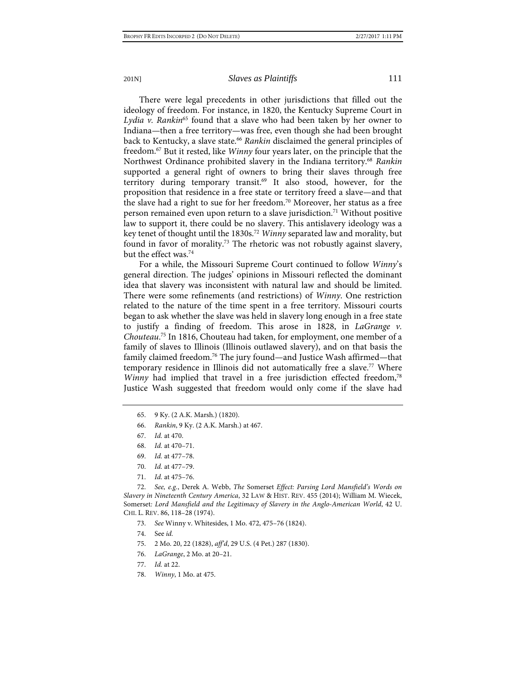There were legal precedents in other jurisdictions that filled out the ideology of freedom. For instance, in 1820, the Kentucky Supreme Court in *Lydia v. Rankin*<sup>65</sup> found that a slave who had been taken by her owner to Indiana—then a free territory—was free, even though she had been brought back to Kentucky, a slave state.<sup>66</sup> Rankin disclaimed the general principles of freedom.67 But it rested, like *Winny* four years later, on the principle that the Northwest Ordinance prohibited slavery in the Indiana territory.68 *Rankin* supported a general right of owners to bring their slaves through free territory during temporary transit.69 It also stood, however, for the proposition that residence in a free state or territory freed a slave—and that the slave had a right to sue for her freedom.<sup>70</sup> Moreover, her status as a free person remained even upon return to a slave jurisdiction.<sup>71</sup> Without positive law to support it, there could be no slavery. This antislavery ideology was a key tenet of thought until the 1830s.72 *Winny* separated law and morality, but found in favor of morality.<sup>73</sup> The rhetoric was not robustly against slavery, but the effect was.74

<span id="page-10-1"></span><span id="page-10-0"></span>For a while, the Missouri Supreme Court continued to follow *Winny*'s general direction. The judges' opinions in Missouri reflected the dominant idea that slavery was inconsistent with natural law and should be limited. There were some refinements (and restrictions) of *Winny*. One restriction related to the nature of the time spent in a free territory. Missouri courts began to ask whether the slave was held in slavery long enough in a free state to justify a finding of freedom. This arose in 1828, in *LaGrange v. Chouteau*. <sup>75</sup> In 1816, Chouteau had taken, for employment, one member of a family of slaves to Illinois (Illinois outlawed slavery), and on that basis the family claimed freedom.<sup>76</sup> The jury found—and Justice Wash affirmed—that temporary residence in Illinois did not automatically free a slave.<sup>77</sup> Where *Winny* had implied that travel in a free jurisdiction effected freedom,<sup>78</sup> Justice Wash suggested that freedom would only come if the slave had

- 70. *Id.* at 477–79.
- 71. *Id.* at 475–76.

72. *See, e.g.*, Derek A. Webb, *The* Somerset *Effect: Parsing Lord Mansfield's Words on Slavery in Nineteenth Century America*, 32 LAW & HIST. REV. 455 (2014); William M. Wiecek, Somerset*: Lord Mansfield and the Legitimacy of Slavery in the Anglo-American World*, 42 U. CHI. L. REV. 86, 118–28 (1974).

- 73. *See* Winny v. Whitesides, 1 Mo. 472, 475–76 (1824).
- 74. See *id.*
- 75. 2 Mo. 20, 22 (1828), *aff'd*, 29 U.S. (4 Pet.) 287 (1830).
- 76. *LaGrange*, 2 Mo. at 20–21.
- 77. *Id.* at 22.
- 78. *Winny*, 1 Mo. at 475.

<sup>65.</sup> 9 Ky. (2 A.K. Marsh.) (1820).

<sup>66.</sup> *Rankin*, 9 Ky. (2 A.K. Marsh.) at 467.

<sup>67.</sup> *Id.* at 470.

<sup>68.</sup> *Id.* at 470–71.

<sup>69.</sup> *Id.* at 477–78.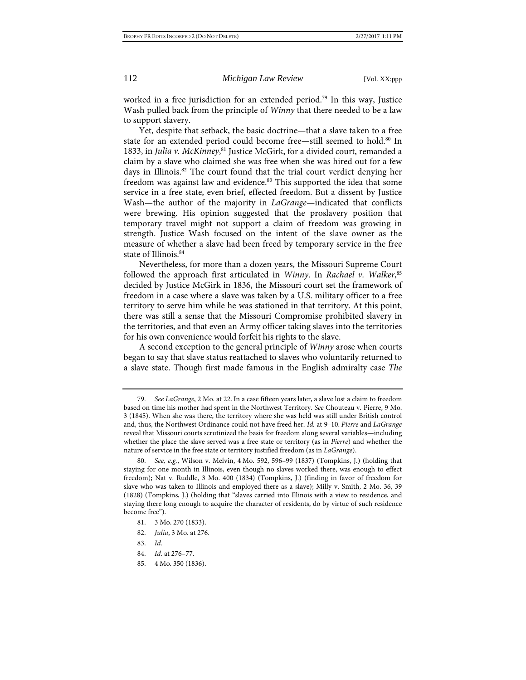worked in a free jurisdiction for an extended period.<sup>79</sup> In this way, Justice Wash pulled back from the principle of *Winny* that there needed to be a law to support slavery.

Yet, despite that setback, the basic doctrine—that a slave taken to a free state for an extended period could become free—still seemed to hold.<sup>80</sup> In 1833, in *Julia v. McKinney*,<sup>81</sup> Justice McGirk, for a divided court, remanded a claim by a slave who claimed she was free when she was hired out for a few days in Illinois. $82$  The court found that the trial court verdict denying her freedom was against law and evidence.<sup>83</sup> This supported the idea that some service in a free state, even brief, effected freedom. But a dissent by Justice Wash—the author of the majority in *LaGrange*—indicated that conflicts were brewing. His opinion suggested that the proslavery position that temporary travel might not support a claim of freedom was growing in strength. Justice Wash focused on the intent of the slave owner as the measure of whether a slave had been freed by temporary service in the free state of Illinois.<sup>84</sup>

Nevertheless, for more than a dozen years, the Missouri Supreme Court followed the approach first articulated in *Winny*. In *Rachael v. Walker*, 85 decided by Justice McGirk in 1836, the Missouri court set the framework of freedom in a case where a slave was taken by a U.S. military officer to a free territory to serve him while he was stationed in that territory. At this point, there was still a sense that the Missouri Compromise prohibited slavery in the territories, and that even an Army officer taking slaves into the territories for his own convenience would forfeit his rights to the slave.

A second exception to the general principle of *Winny* arose when courts began to say that slave status reattached to slaves who voluntarily returned to a slave state. Though first made famous in the English admiralty case *The* 

<sup>79.</sup> *See LaGrange*, 2 Mo. at 22. In a case fifteen years later, a slave lost a claim to freedom based on time his mother had spent in the Northwest Territory. *See* Chouteau v. Pierre, 9 Mo. 3 (1845). When she was there, the territory where she was held was still under British control and, thus, the Northwest Ordinance could not have freed her. *Id.* at 9–10. *Pierre* and *LaGrange* reveal that Missouri courts scrutinized the basis for freedom along several variables—including whether the place the slave served was a free state or territory (as in *Pierre*) and whether the nature of service in the free state or territory justified freedom (as in *LaGrange*).

<sup>80.</sup> *See, e.g.*, Wilson v. Melvin, 4 Mo. 592, 596–99 (1837) (Tompkins, J.) (holding that staying for one month in Illinois, even though no slaves worked there, was enough to effect freedom); Nat v. Ruddle, 3 Mo. 400 (1834) (Tompkins, J.) (finding in favor of freedom for slave who was taken to Illinois and employed there as a slave); Milly v. Smith, 2 Mo. 36, 39 (1828) (Tompkins, J.) (holding that "slaves carried into Illinois with a view to residence, and staying there long enough to acquire the character of residents, do by virtue of such residence become free").

<sup>81.</sup> 3 Mo. 270 (1833).

<sup>82.</sup> *Julia*, 3 Mo. at 276.

<sup>83.</sup> *Id.*

<sup>84.</sup> *Id.* at 276–77.

<sup>85.</sup> 4 Mo. 350 (1836).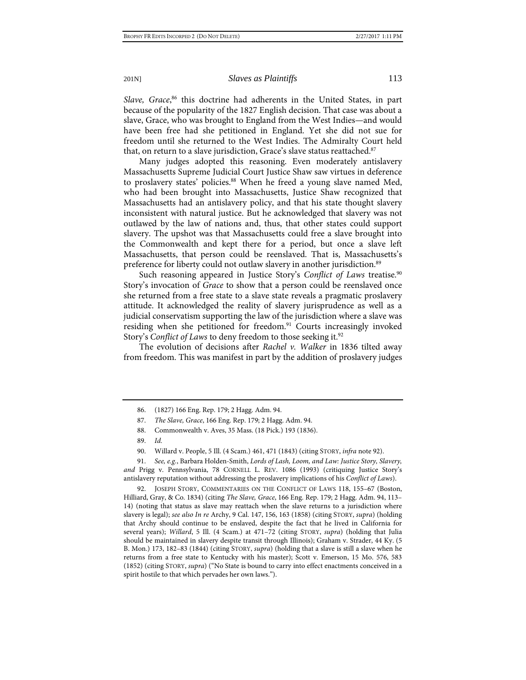Slave, Grace,<sup>86</sup> this doctrine had adherents in the United States, in part because of the popularity of the 1827 English decision. That case was about a slave, Grace, who was brought to England from the West Indies—and would have been free had she petitioned in England. Yet she did not sue for freedom until she returned to the West Indies. The Admiralty Court held that, on return to a slave jurisdiction, Grace's slave status reattached.<sup>87</sup>

Many judges adopted this reasoning. Even moderately antislavery Massachusetts Supreme Judicial Court Justice Shaw saw virtues in deference to proslavery states' policies.<sup>88</sup> When he freed a young slave named Med, who had been brought into Massachusetts, Justice Shaw recognized that Massachusetts had an antislavery policy, and that his state thought slavery inconsistent with natural justice. But he acknowledged that slavery was not outlawed by the law of nations and, thus, that other states could support slavery. The upshot was that Massachusetts could free a slave brought into the Commonwealth and kept there for a period, but once a slave left Massachusetts, that person could be reenslaved. That is, Massachusetts's preference for liberty could not outlaw slavery in another jurisdiction.<sup>89</sup>

<span id="page-12-1"></span>Such reasoning appeared in Justice Story's *Conflict of Laws* treatise.<sup>90</sup> Story's invocation of *Grace* to show that a person could be reenslaved once she returned from a free state to a slave state reveals a pragmatic proslavery attitude. It acknowledged the reality of slavery jurisprudence as well as a judicial conservatism supporting the law of the jurisdiction where a slave was residing when she petitioned for freedom.<sup>91</sup> Courts increasingly invoked Story's *Conflict of Laws* to deny freedom to those seeking it.<sup>92</sup>

<span id="page-12-0"></span>The evolution of decisions after *Rachel v. Walker* in 1836 tilted away from freedom. This was manifest in part by the addition of proslavery judges

91. *See, e.g.*, Barbara Holden-Smith, *Lords of Lash, Loom, and Law: Justice Story, Slavery, and* Prigg v. Pennsylvania, 78 CORNELL L. REV. 1086 (1993) (critiquing Justice Story's antislavery reputation without addressing the proslavery implications of his *Conflict of Laws*).

JOSEPH STORY, COMMENTARIES ON THE CONFLICT OF LAWS 118, 155-67 (Boston, Hilliard, Gray, & Co. 1834) (citing *The Slave, Grace*, 166 Eng. Rep. 179; 2 Hagg. Adm. 94, 113– 14) (noting that status as slave may reattach when the slave returns to a jurisdiction where slavery is legal); *see also In re* Archy, 9 Cal. 147, 156, 163 (1858) (citing STORY, *supra*) (holding that Archy should continue to be enslaved, despite the fact that he lived in California for several years); *Willard*, 5 Ill. (4 Scam.) at 471–72 (citing STORY, *supra*) (holding that Julia should be maintained in slavery despite transit through Illinois); Graham v. Strader, 44 Ky. (5 B. Mon.) 173, 182–83 (1844) (citing STORY, *supra*) (holding that a slave is still a slave when he returns from a free state to Kentucky with his master); Scott v. Emerson, 15 Mo. 576, 583 (1852) (citing STORY, *supra*) ("No State is bound to carry into effect enactments conceived in a spirit hostile to that which pervades her own laws.").

<sup>86.</sup> (1827) 166 Eng. Rep. 179; 2 Hagg. Adm. 94.

<sup>87.</sup> *The Slave, Grace*, 166 Eng. Rep. 179; 2 Hagg. Adm. 94.

<sup>88.</sup> Commonwealth v. Aves, 35 Mass. (18 Pick.) 193 (1836).

<sup>89.</sup> *Id.*

<sup>90.</sup> Willard v. People, 5 Ill. (4 Scam.) 461, 471 (1843) (citing STORY, *infra* not[e 92\)](#page-12-0).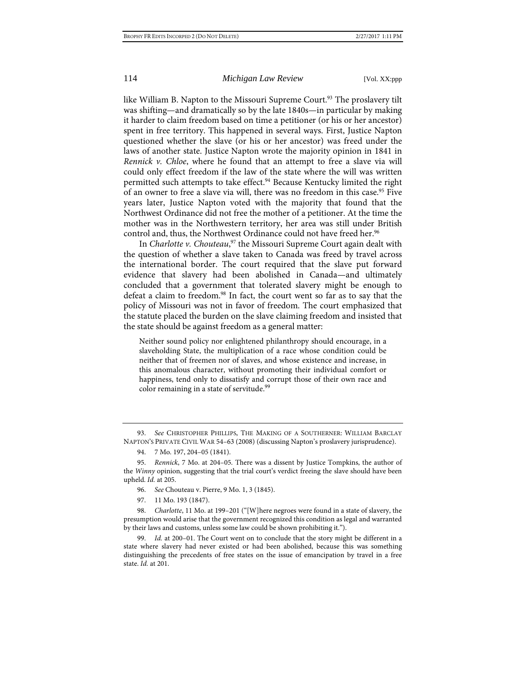<span id="page-13-2"></span>

like William B. Napton to the Missouri Supreme Court.<sup>93</sup> The proslavery tilt was shifting—and dramatically so by the late 1840s—in particular by making it harder to claim freedom based on time a petitioner (or his or her ancestor) spent in free territory. This happened in several ways. First, Justice Napton questioned whether the slave (or his or her ancestor) was freed under the laws of another state. Justice Napton wrote the majority opinion in 1841 in *Rennick v. Chloe*, where he found that an attempt to free a slave via will could only effect freedom if the law of the state where the will was written permitted such attempts to take effect.<sup>94</sup> Because Kentucky limited the right of an owner to free a slave via will, there was no freedom in this case.<sup>95</sup> Five years later, Justice Napton voted with the majority that found that the Northwest Ordinance did not free the mother of a petitioner. At the time the mother was in the Northwestern territory, her area was still under British control and, thus, the Northwest Ordinance could not have freed her.<sup>96</sup>

In *Charlotte v. Chouteau*, <sup>97</sup> the Missouri Supreme Court again dealt with the question of whether a slave taken to Canada was freed by travel across the international border. The court required that the slave put forward evidence that slavery had been abolished in Canada—and ultimately concluded that a government that tolerated slavery might be enough to defeat a claim to freedom.<sup>98</sup> In fact, the court went so far as to say that the policy of Missouri was not in favor of freedom. The court emphasized that the statute placed the burden on the slave claiming freedom and insisted that the state should be against freedom as a general matter:

<span id="page-13-1"></span><span id="page-13-0"></span>Neither sound policy nor enlightened philanthropy should encourage, in a slaveholding State, the multiplication of a race whose condition could be neither that of freemen nor of slaves, and whose existence and increase, in this anomalous character, without promoting their individual comfort or happiness, tend only to dissatisfy and corrupt those of their own race and color remaining in a state of servitude.<sup>99</sup>

93. *See* CHRISTOPHER PHILLIPS, THE MAKING OF A SOUTHERNER: WILLIAM BARCLAY NAPTON'S PRIVATE CIVIL WAR 54–63 (2008) (discussing Napton's proslavery jurisprudence).

<sup>94.</sup> 7 Mo. 197, 204–05 (1841).

<sup>95.</sup> *Rennick*, 7 Mo. at 204–05. There was a dissent by Justice Tompkins, the author of the *Winny* opinion, suggesting that the trial court's verdict freeing the slave should have been upheld. *Id.* at 205.

<sup>96.</sup> *See* Chouteau v. Pierre, 9 Mo. 1, 3 (1845).

<sup>97.</sup> 11 Mo. 193 (1847).

<sup>98.</sup> *Charlotte*, 11 Mo. at 199–201 ("[W]here negroes were found in a state of slavery, the presumption would arise that the government recognized this condition as legal and warranted by their laws and customs, unless some law could be shown prohibiting it.").

<sup>99.</sup> *Id.* at 200–01. The Court went on to conclude that the story might be different in a state where slavery had never existed or had been abolished, because this was something distinguishing the precedents of free states on the issue of emancipation by travel in a free state. *Id.* at 201.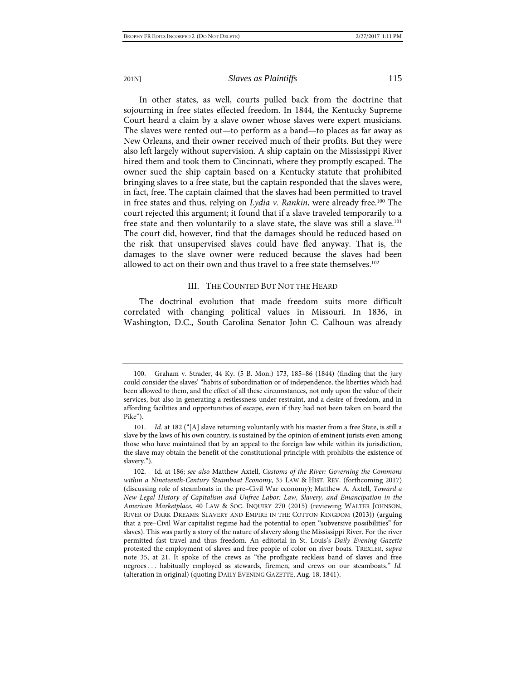In other states, as well, courts pulled back from the doctrine that sojourning in free states effected freedom. In 1844, the Kentucky Supreme Court heard a claim by a slave owner whose slaves were expert musicians. The slaves were rented out—to perform as a band—to places as far away as New Orleans, and their owner received much of their profits. But they were also left largely without supervision. A ship captain on the Mississippi River hired them and took them to Cincinnati, where they promptly escaped. The owner sued the ship captain based on a Kentucky statute that prohibited bringing slaves to a free state, but the captain responded that the slaves were, in fact, free. The captain claimed that the slaves had been permitted to travel in free states and thus, relying on *Lydia v. Rankin*, were already free.<sup>100</sup> The court rejected this argument; it found that if a slave traveled temporarily to a free state and then voluntarily to a slave state, the slave was still a slave.<sup>101</sup> The court did, however, find that the damages should be reduced based on the risk that unsupervised slaves could have fled anyway. That is, the damages to the slave owner were reduced because the slaves had been allowed to act on their own and thus travel to a free state themselves.<sup>102</sup>

## III. THE COUNTED BUT NOT THE HEARD

The doctrinal evolution that made freedom suits more difficult correlated with changing political values in Missouri. In 1836, in Washington, D.C., South Carolina Senator John C. Calhoun was already

<sup>100.</sup> Graham v. Strader, 44 Ky. (5 B. Mon.) 173, 185–86 (1844) (finding that the jury could consider the slaves' "habits of subordination or of independence, the liberties which had been allowed to them, and the effect of all these circumstances, not only upon the value of their services, but also in generating a restlessness under restraint, and a desire of freedom, and in affording facilities and opportunities of escape, even if they had not been taken on board the Pike").

<sup>101.</sup> *Id.* at 182 ("[A] slave returning voluntarily with his master from a free State, is still a slave by the laws of his own country, is sustained by the opinion of eminent jurists even among those who have maintained that by an appeal to the foreign law while within its jurisdiction, the slave may obtain the benefit of the constitutional principle with prohibits the existence of slavery.").

<sup>102.</sup> Id. at 186; *see also* Matthew Axtell, *Customs of the River: Governing the Commons within a Nineteenth-Century Steamboat Economy*, 35 LAW & HIST. REV. (forthcoming 2017) (discussing role of steamboats in the pre–Civil War economy); Matthew A. Axtell, *Toward a New Legal History of Capitalism and Unfree Labor: Law, Slavery, and Emancipation in the American Marketplace*, 40 LAW & SOC. INQUIRY 270 (2015) (reviewing WALTER JOHNSON, RIVER OF DARK DREAMS: SLAVERY AND EMPIRE IN THE COTTON KINGDOM (2013)) (arguing that a pre–Civil War capitalist regime had the potential to open "subversive possibilities" for slaves). This was partly a story of the nature of slavery along the Mississippi River. For the river permitted fast travel and thus freedom. An editorial in St. Louis's *Daily Evening Gazette* protested the employment of slaves and free people of color on river boats. TREXLER, *supra* note [35,](#page-4-3) at 21. It spoke of the crews as "the profligate reckless band of slaves and free negroes . . . habitually employed as stewards, firemen, and crews on our steamboats." *Id.* (alteration in original) (quoting DAILY EVENING GAZETTE, Aug. 18, 1841).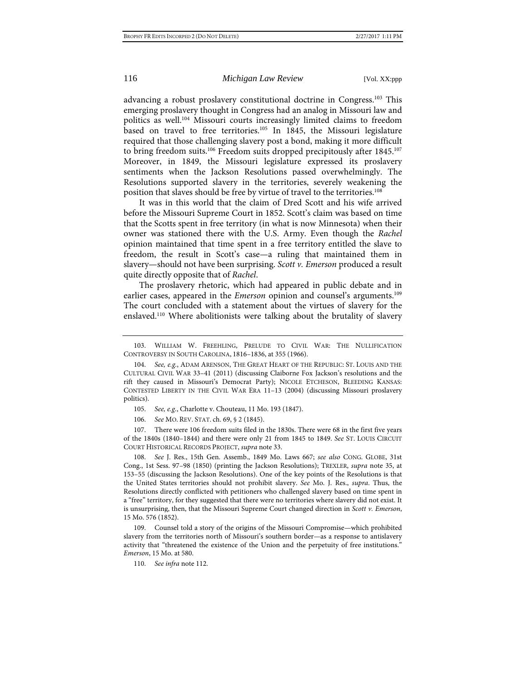<span id="page-15-2"></span><span id="page-15-1"></span><span id="page-15-0"></span>

advancing a robust proslavery constitutional doctrine in Congress.<sup>103</sup> This emerging proslavery thought in Congress had an analog in Missouri law and politics as well.104 Missouri courts increasingly limited claims to freedom based on travel to free territories.<sup>105</sup> In 1845, the Missouri legislature required that those challenging slavery post a bond, making it more difficult to bring freedom suits.<sup>106</sup> Freedom suits dropped precipitously after 1845.<sup>107</sup> Moreover, in 1849, the Missouri legislature expressed its proslavery sentiments when the Jackson Resolutions passed overwhelmingly. The Resolutions supported slavery in the territories, severely weakening the position that slaves should be free by virtue of travel to the territories.108

It was in this world that the claim of Dred Scott and his wife arrived before the Missouri Supreme Court in 1852. Scott's claim was based on time that the Scotts spent in free territory (in what is now Minnesota) when their owner was stationed there with the U.S. Army. Even though the *Rachel* opinion maintained that time spent in a free territory entitled the slave to freedom, the result in Scott's case—a ruling that maintained them in slavery—should not have been surprising. *Scott v. Emerson* produced a result quite directly opposite that of *Rachel*.

The proslavery rhetoric, which had appeared in public debate and in earlier cases, appeared in the *Emerson* opinion and counsel's arguments.<sup>109</sup> The court concluded with a statement about the virtues of slavery for the enslaved.110 Where abolitionists were talking about the brutality of slavery

105. *See, e.g.*, Charlotte v. Chouteau, 11 Mo. 193 (1847).

106. *See* MO. REV. STAT. ch. 69, § 2 (1845).

107. There were 106 freedom suits filed in the 1830s. There were 68 in the first five years of the 1840s (1840–1844) and there were only 21 from 1845 to 1849. *See* ST. LOUIS CIRCUIT COURT HISTORICAL RECORDS PROJECT, *supra* not[e 33.](#page-4-4)

108. *See* J. Res., 15th Gen. Assemb., 1849 Mo. Laws 667; *see also* CONG. GLOBE, 31st Cong., 1st Sess. 97–98 (1850) (printing the Jackson Resolutions); TREXLER, *supra* note [35,](#page-4-3) at 153–55 (discussing the Jackson Resolutions). One of the key points of the Resolutions is that the United States territories should not prohibit slavery. *See* Mo. J. Res., *supra*. Thus, the Resolutions directly conflicted with petitioners who challenged slavery based on time spent in a "free" territory, for they suggested that there were no territories where slavery did not exist. It is unsurprising, then, that the Missouri Supreme Court changed direction in *Scott v. Emerson*, 15 Mo. 576 (1852).

109. Counsel told a story of the origins of the Missouri Compromise—which prohibited slavery from the territories north of Missouri's southern border—as a response to antislavery activity that "threatened the existence of the Union and the perpetuity of free institutions." *Emerson*, 15 Mo. at 580.

110. *See infra* not[e 112.](#page-16-0)

<sup>103.</sup> WILLIAM W. FREEHLING, PRELUDE TO CIVIL WAR: THE NULLIFICATION CONTROVERSY IN SOUTH CAROLINA, 1816–1836, at 355 (1966).

<sup>104.</sup> *See, e.g.*, ADAM ARENSON, THE GREAT HEART OF THE REPUBLIC: ST. LOUIS AND THE CULTURAL CIVIL WAR 33–41 (2011) (discussing Claiborne Fox Jackson's resolutions and the rift they caused in Missouri's Democrat Party); NICOLE ETCHESON, BLEEDING KANSAS: CONTESTED LIBERTY IN THE CIVIL WAR ERA 11–13 (2004) (discussing Missouri proslavery politics).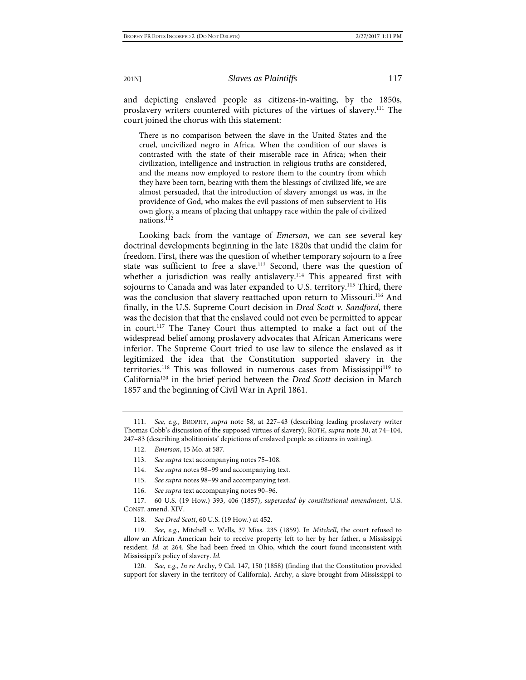and depicting enslaved people as citizens-in-waiting, by the 1850s, proslavery writers countered with pictures of the virtues of slavery.111 The court joined the chorus with this statement:

There is no comparison between the slave in the United States and the cruel, uncivilized negro in Africa. When the condition of our slaves is contrasted with the state of their miserable race in Africa; when their civilization, intelligence and instruction in religious truths are considered, and the means now employed to restore them to the country from which they have been torn, bearing with them the blessings of civilized life, we are almost persuaded, that the introduction of slavery amongst us was, in the providence of God, who makes the evil passions of men subservient to His own glory, a means of placing that unhappy race within the pale of civilized nations.<sup>112</sup>

<span id="page-16-0"></span>Looking back from the vantage of *Emerson*, we can see several key doctrinal developments beginning in the late 1820s that undid the claim for freedom. First, there was the question of whether temporary sojourn to a free state was sufficient to free a slave.<sup>113</sup> Second, there was the question of whether a jurisdiction was really antislavery.<sup>114</sup> This appeared first with sojourns to Canada and was later expanded to U.S. territory.<sup>115</sup> Third, there was the conclusion that slavery reattached upon return to Missouri.<sup>116</sup> And finally, in the U.S. Supreme Court decision in *Dred Scott v. Sandford*, there was the decision that that the enslaved could not even be permitted to appear in court.117 The Taney Court thus attempted to make a fact out of the widespread belief among proslavery advocates that African Americans were inferior. The Supreme Court tried to use law to silence the enslaved as it legitimized the idea that the Constitution supported slavery in the territories.<sup>118</sup> This was followed in numerous cases from Mississippi<sup>119</sup> to California120 in the brief period between the *Dred Scott* decision in March 1857 and the beginning of Civil War in April 1861.

- 114. *See supra* note[s 98](#page-13-0)[–99](#page-13-1) and accompanying text.
- 115. *See supra* note[s 98](#page-13-0)[–99](#page-13-1) and accompanying text.
- 116. *See supra* text accompanying note[s 90–](#page-12-1)[96.](#page-13-2)

117. 60 U.S. (19 How.) 393, 406 (1857), *superseded by constitutional amendment*, U.S. CONST. amend. XIV.

<sup>111.</sup> *See, e.g.*, BROPHY, *supra* note [58,](#page-8-0) at 227–43 (describing leading proslavery writer Thomas Cobb's discussion of the supposed virtues of slavery); ROTH, *supra* not[e 30,](#page-4-1) at 74–104, 247–83 (describing abolitionists' depictions of enslaved people as citizens in waiting).

<sup>112.</sup> *Emerson*, 15 Mo. at 587.

<sup>113.</sup> *See supra* text accompanying note[s 75–](#page-10-1)[108.](#page-15-1)

<sup>118.</sup> *See Dred Scott*, 60 U.S. (19 How.) at 452.

<sup>119.</sup> *See, e.g.*, Mitchell v. Wells, 37 Miss. 235 (1859). In *Mitchell*, the court refused to allow an African American heir to receive property left to her by her father, a Mississippi resident. *Id.* at 264. She had been freed in Ohio, which the court found inconsistent with Mississippi's policy of slavery. *Id.*

See, e.g., *In re* Archy, 9 Cal. 147, 150 (1858) (finding that the Constitution provided support for slavery in the territory of California). Archy, a slave brought from Mississippi to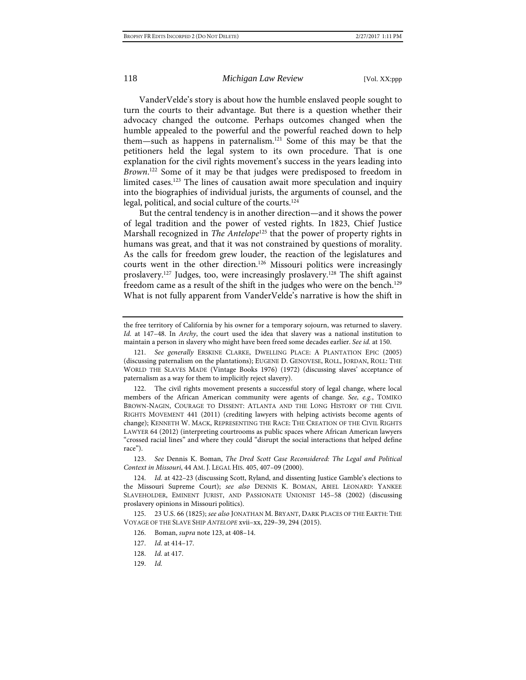VanderVelde's story is about how the humble enslaved people sought to turn the courts to their advantage. But there is a question whether their advocacy changed the outcome. Perhaps outcomes changed when the humble appealed to the powerful and the powerful reached down to help them—such as happens in paternalism.<sup>121</sup> Some of this may be that the petitioners held the legal system to its own procedure. That is one explanation for the civil rights movement's success in the years leading into Brown.<sup>122</sup> Some of it may be that judges were predisposed to freedom in limited cases.<sup>123</sup> The lines of causation await more speculation and inquiry into the biographies of individual jurists, the arguments of counsel, and the legal, political, and social culture of the courts.<sup>124</sup>

<span id="page-17-0"></span>But the central tendency is in another direction—and it shows the power of legal tradition and the power of vested rights. In 1823, Chief Justice Marshall recognized in *The Antelope*<sup>125</sup> that the power of property rights in humans was great, and that it was not constrained by questions of morality. As the calls for freedom grew louder, the reaction of the legislatures and courts went in the other direction.126 Missouri politics were increasingly proslavery.127 Judges, too, were increasingly proslavery.128 The shift against freedom came as a result of the shift in the judges who were on the bench.<sup>129</sup> What is not fully apparent from VanderVelde's narrative is how the shift in

the free territory of California by his owner for a temporary sojourn, was returned to slavery. *Id.* at 147–48. In *Archy*, the court used the idea that slavery was a national institution to maintain a person in slavery who might have been freed some decades earlier. *See id.* at 150.

<sup>121.</sup> *See generally* ERSKINE CLARKE, DWELLING PLACE: A PLANTATION EPIC (2005) (discussing paternalism on the plantations); EUGENE D. GENOVESE, ROLL, JORDAN, ROLL: THE WORLD THE SLAVES MADE (Vintage Books 1976) (1972) (discussing slaves' acceptance of paternalism as a way for them to implicitly reject slavery).

<sup>122.</sup> The civil rights movement presents a successful story of legal change, where local members of the African American community were agents of change. *See, e.g.*, TOMIKO BROWN-NAGIN, COURAGE TO DISSENT: ATLANTA AND THE LONG HISTORY OF THE CIVIL RIGHTS MOVEMENT 441 (2011) (crediting lawyers with helping activists become agents of change); KENNETH W. MACK, REPRESENTING THE RACE: THE CREATION OF THE CIVIL RIGHTS LAWYER 64 (2012) (interpreting courtrooms as public spaces where African American lawyers "crossed racial lines" and where they could "disrupt the social interactions that helped define race").

<sup>123.</sup> *See* Dennis K. Boman, *The Dred Scott Case Reconsidered: The Legal and Political Context in Missouri*, 44 AM. J. LEGAL HIS. 405, 407–09 (2000).

<sup>124.</sup> *Id.* at 422–23 (discussing Scott, Ryland, and dissenting Justice Gamble's elections to the Missouri Supreme Court); *see also* DENNIS K. BOMAN, ABIEL LEONARD: YANKEE SLAVEHOLDER, EMINENT JURIST, AND PASSIONATE UNIONIST 145–58 (2002) (discussing proslavery opinions in Missouri politics).

<sup>125.</sup> 23 U.S. 66 (1825); *see also* JONATHAN M. BRYANT, DARK PLACES OF THE EARTH: THE VOYAGE OF THE SLAVE SHIP *ANTELOPE* xvii–xx, 229–39, 294 (2015).

<sup>126.</sup> Boman, *supra* not[e 123,](#page-17-0) at 408–14.

<sup>127.</sup> *Id.* at 414–17.

<sup>128.</sup> *Id.* at 417.

<sup>129.</sup> *Id.*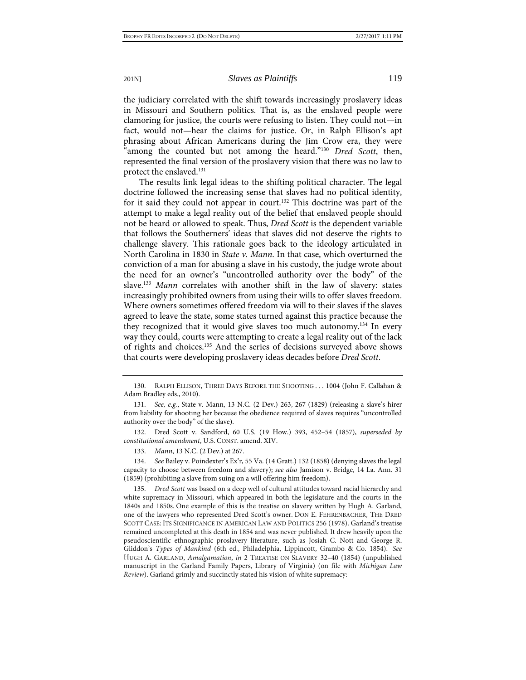the judiciary correlated with the shift towards increasingly proslavery ideas in Missouri and Southern politics. That is, as the enslaved people were clamoring for justice, the courts were refusing to listen. They could not—in fact, would not—hear the claims for justice. Or, in Ralph Ellison's apt phrasing about African Americans during the Jim Crow era, they were "among the counted but not among the heard."130 *Dred Scott*, then, represented the final version of the proslavery vision that there was no law to protect the enslaved.131

The results link legal ideas to the shifting political character. The legal doctrine followed the increasing sense that slaves had no political identity, for it said they could not appear in court.<sup>132</sup> This doctrine was part of the attempt to make a legal reality out of the belief that enslaved people should not be heard or allowed to speak. Thus, *Dred Scott* is the dependent variable that follows the Southerners' ideas that slaves did not deserve the rights to challenge slavery. This rationale goes back to the ideology articulated in North Carolina in 1830 in *State v. Mann*. In that case, which overturned the conviction of a man for abusing a slave in his custody, the judge wrote about the need for an owner's "uncontrolled authority over the body" of the slave.133 *Mann* correlates with another shift in the law of slavery: states increasingly prohibited owners from using their wills to offer slaves freedom. Where owners sometimes offered freedom via will to their slaves if the slaves agreed to leave the state, some states turned against this practice because the they recognized that it would give slaves too much autonomy.134 In every way they could, courts were attempting to create a legal reality out of the lack of rights and choices.135 And the series of decisions surveyed above shows that courts were developing proslavery ideas decades before *Dred Scott*.

132. Dred Scott v. Sandford, 60 U.S. (19 How.) 393, 452–54 (1857), *superseded by constitutional amendment*, U.S. CONST. amend. XIV.

134. *See* Bailey v. Poindexter's Ex'r, 55 Va. (14 Gratt.) 132 (1858) (denying slaves the legal capacity to choose between freedom and slavery); *see also* Jamison v. Bridge, 14 La. Ann. 31 (1859) (prohibiting a slave from suing on a will offering him freedom).

<sup>130.</sup> RALPH ELLISON, THREE DAYS BEFORE THE SHOOTING . . . 1004 (John F. Callahan & Adam Bradley eds., 2010).

<sup>131.</sup> *See, e.g.*, State v. Mann, 13 N.C. (2 Dev.) 263, 267 (1829) (releasing a slave's hirer from liability for shooting her because the obedience required of slaves requires "uncontrolled authority over the body" of the slave).

<sup>133.</sup> *Mann*, 13 N.C. (2 Dev.) at 267.

<sup>135.</sup> *Dred Scott* was based on a deep well of cultural attitudes toward racial hierarchy and white supremacy in Missouri, which appeared in both the legislature and the courts in the 1840s and 1850s. One example of this is the treatise on slavery written by Hugh A. Garland, one of the lawyers who represented Dred Scott's owner. DON E. FEHRENBACHER, THE DRED SCOTT CASE: ITS SIGNIFICANCE IN AMERICAN LAW AND POLITICS 256 (1978). Garland's treatise remained uncompleted at this death in 1854 and was never published. It drew heavily upon the pseudoscientific ethnographic proslavery literature, such as Josiah C. Nott and George R. Gliddon's *Types of Mankind* (6th ed., Philadelphia, Lippincott, Grambo & Co. 1854). *See* HUGH A. GARLAND, *Amalgamation*, *in* 2 TREATISE ON SLAVERY 32–40 (1854) (unpublished manuscript in the Garland Family Papers, Library of Virginia) (on file with *Michigan Law Review*). Garland grimly and succinctly stated his vision of white supremacy: